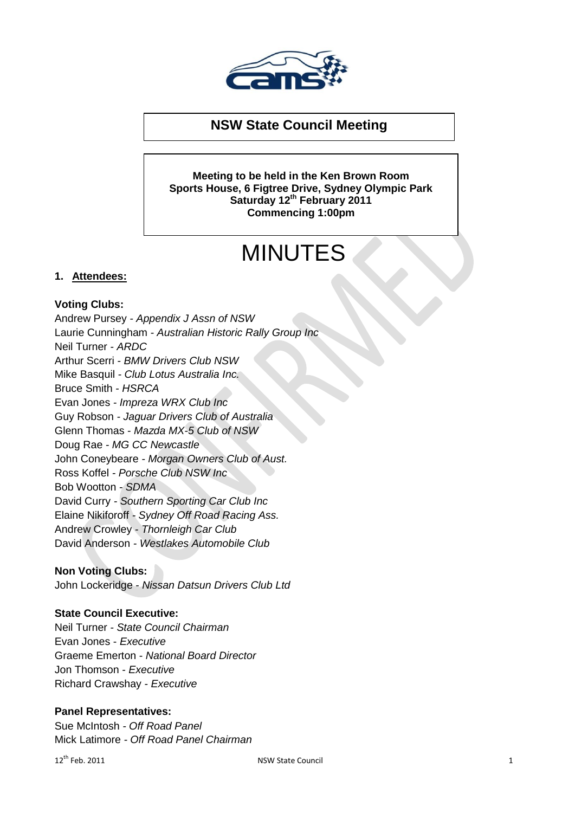

# **NSW State Council Meeting**

**Meeting to be held in the Ken Brown Room Sports House, 6 Figtree Drive, Sydney Olympic Park Saturday 12th February 2011 Commencing 1:00pm**

# MINUTES

## **1. Attendees:**

## **Voting Clubs:**

Andrew Pursey *- Appendix J Assn of NSW* Laurie Cunningham *- Australian Historic Rally Group Inc* Neil Turner *- ARDC* Arthur Scerri *- BMW Drivers Club NSW* Mike Basquil *- Club Lotus Australia Inc.* Bruce Smith *- HSRCA* Evan Jones *- Impreza WRX Club Inc* Guy Robson *- Jaguar Drivers Club of Australia* Glenn Thomas *- Mazda MX-5 Club of NSW* Doug Rae *- MG CC Newcastle* John Coneybeare *- Morgan Owners Club of Aust.* Ross Koffel *- Porsche Club NSW Inc* Bob Wootton *- SDMA* David Curry *- Southern Sporting Car Club Inc* Elaine Nikiforoff *- Sydney Off Road Racing Ass.* Andrew Crowley *- Thornleigh Car Club* David Anderson *- Westlakes Automobile Club*

#### **Non Voting Clubs:**

John Lockeridge - *Nissan Datsun Drivers Club Ltd* 

#### **State Council Executive:**

Neil Turner *- State Council Chairman*  Evan Jones - *Executive*  Graeme Emerton - *National Board Director* Jon Thomson *- Executive* Richard Crawshay *- Executive* 

#### **Panel Representatives:**

Sue McIntosh *- Off Road Panel* Mick Latimore *- Off Road Panel Chairman*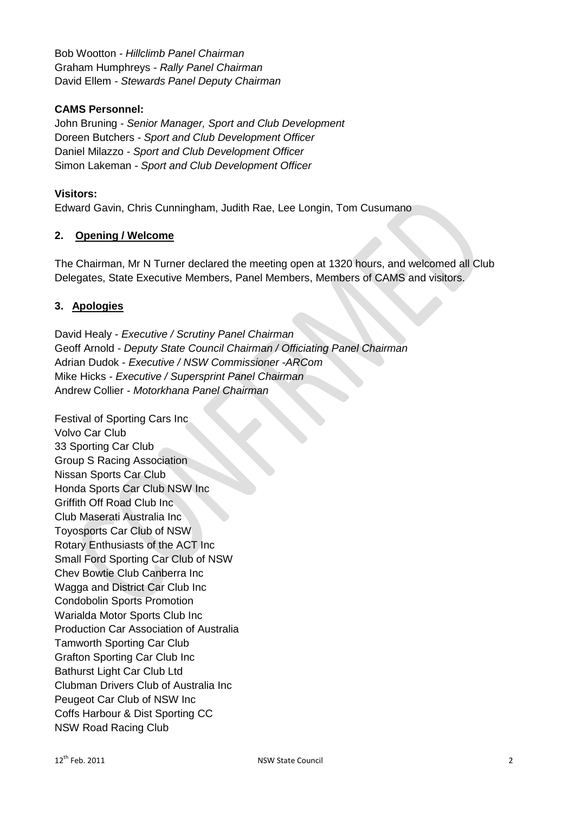Bob Wootton *- Hillclimb Panel Chairman* Graham Humphreys *- Rally Panel Chairman* David Ellem *- Stewards Panel Deputy Chairman*

## **CAMS Personnel:**

John Bruning *- Senior Manager, Sport and Club Development* Doreen Butchers *- Sport and Club Development Officer* Daniel Milazzo *- Sport and Club Development Officer* Simon Lakeman *- Sport and Club Development Officer*

#### **Visitors:**

Edward Gavin, Chris Cunningham, Judith Rae, Lee Longin, Tom Cusumano

#### **2. Opening / Welcome**

The Chairman, Mr N Turner declared the meeting open at 1320 hours, and welcomed all Club Delegates, State Executive Members, Panel Members, Members of CAMS and visitors.

## **3. Apologies**

David Healy - *Executive / Scrutiny Panel Chairman* Geoff Arnold *- Deputy State Council Chairman / Officiating Panel Chairman*  Adrian Dudok - *Executive / NSW Commissioner -ARCom* Mike Hicks *- Executive / Supersprint Panel Chairman* Andrew Collier *- Motorkhana Panel Chairman*

Festival of Sporting Cars Inc Volvo Car Club 33 Sporting Car Club Group S Racing Association Nissan Sports Car Club Honda Sports Car Club NSW Inc Griffith Off Road Club Inc Club Maserati Australia Inc Toyosports Car Club of NSW Rotary Enthusiasts of the ACT Inc Small Ford Sporting Car Club of NSW Chev Bowtie Club Canberra Inc Wagga and District Car Club Inc Condobolin Sports Promotion Warialda Motor Sports Club Inc Production Car Association of Australia Tamworth Sporting Car Club Grafton Sporting Car Club Inc Bathurst Light Car Club Ltd Clubman Drivers Club of Australia Inc Peugeot Car Club of NSW Inc Coffs Harbour & Dist Sporting CC NSW Road Racing Club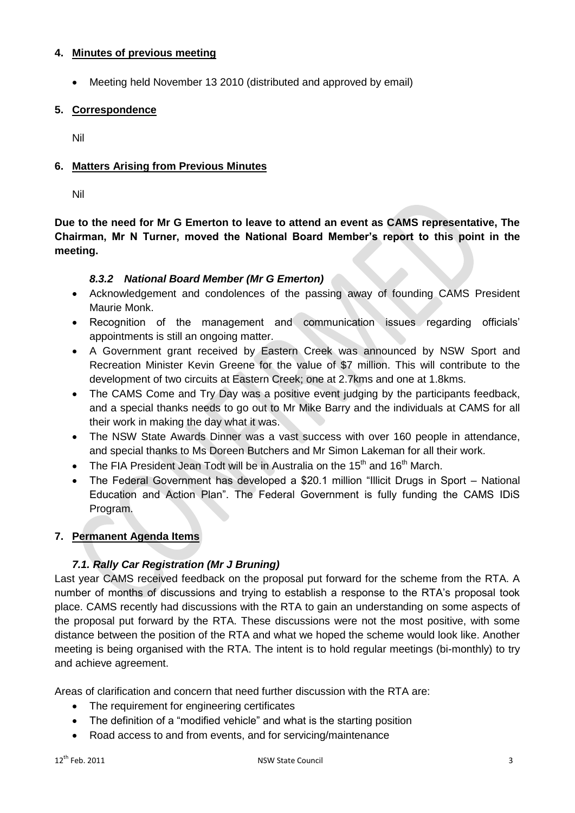## **4. Minutes of previous meeting**

Meeting held November 13 2010 (distributed and approved by email)

# **5. Correspondence**

Nil

# **6. Matters Arising from Previous Minutes**

Nil

**Due to the need for Mr G Emerton to leave to attend an event as CAMS representative, The Chairman, Mr N Turner, moved the National Board Member's report to this point in the meeting.**

## *8.3.2 National Board Member (Mr G Emerton)*

- Acknowledgement and condolences of the passing away of founding CAMS President Maurie Monk.
- Recognition of the management and communication issues regarding officials' appointments is still an ongoing matter.
- A Government grant received by Eastern Creek was announced by NSW Sport and Recreation Minister Kevin Greene for the value of \$7 million. This will contribute to the development of two circuits at Eastern Creek; one at 2.7kms and one at 1.8kms.
- The CAMS Come and Try Day was a positive event judging by the participants feedback, and a special thanks needs to go out to Mr Mike Barry and the individuals at CAMS for all their work in making the day what it was.
- The NSW State Awards Dinner was a vast success with over 160 people in attendance, and special thanks to Ms Doreen Butchers and Mr Simon Lakeman for all their work.
- The FIA President Jean Todt will be in Australia on the  $15<sup>th</sup>$  and  $16<sup>th</sup>$  March.
- The Federal Government has developed a \$20.1 million "Illicit Drugs in Sport National Education and Action Plan". The Federal Government is fully funding the CAMS IDiS Program.

# **7. Permanent Agenda Items**

# *7.1. Rally Car Registration (Mr J Bruning)*

Last year CAMS received feedback on the proposal put forward for the scheme from the RTA. A number of months of discussions and trying to establish a response to the RTA's proposal took place. CAMS recently had discussions with the RTA to gain an understanding on some aspects of the proposal put forward by the RTA. These discussions were not the most positive, with some distance between the position of the RTA and what we hoped the scheme would look like. Another meeting is being organised with the RTA. The intent is to hold regular meetings (bi-monthly) to try and achieve agreement.

Areas of clarification and concern that need further discussion with the RTA are:

- The requirement for engineering certificates
- The definition of a "modified vehicle" and what is the starting position
- Road access to and from events, and for servicing/maintenance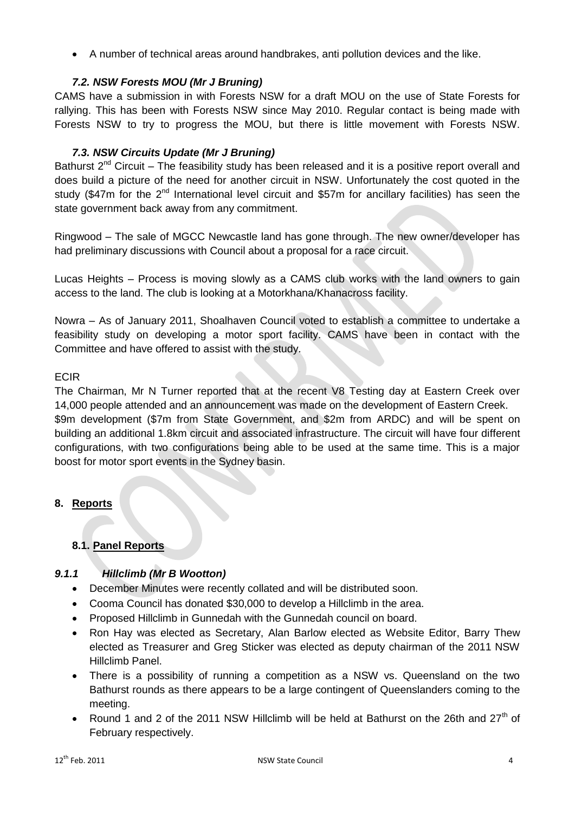A number of technical areas around handbrakes, anti pollution devices and the like.

## *7.2. NSW Forests MOU (Mr J Bruning)*

CAMS have a submission in with Forests NSW for a draft MOU on the use of State Forests for rallying. This has been with Forests NSW since May 2010. Regular contact is being made with Forests NSW to try to progress the MOU, but there is little movement with Forests NSW.

## *7.3. NSW Circuits Update (Mr J Bruning)*

Bathurst  $2<sup>nd</sup>$  Circuit – The feasibility study has been released and it is a positive report overall and does build a picture of the need for another circuit in NSW. Unfortunately the cost quoted in the study (\$47m for the  $2<sup>nd</sup>$  International level circuit and \$57m for ancillary facilities) has seen the state government back away from any commitment.

Ringwood – The sale of MGCC Newcastle land has gone through. The new owner/developer has had preliminary discussions with Council about a proposal for a race circuit.

Lucas Heights – Process is moving slowly as a CAMS club works with the land owners to gain access to the land. The club is looking at a Motorkhana/Khanacross facility.

Nowra – As of January 2011, Shoalhaven Council voted to establish a committee to undertake a feasibility study on developing a motor sport facility. CAMS have been in contact with the Committee and have offered to assist with the study.

#### ECIR

The Chairman, Mr N Turner reported that at the recent V8 Testing day at Eastern Creek over 14,000 people attended and an announcement was made on the development of Eastern Creek. \$9m development (\$7m from State Government, and \$2m from ARDC) and will be spent on building an additional 1.8km circuit and associated infrastructure. The circuit will have four different configurations, with two configurations being able to be used at the same time. This is a major boost for motor sport events in the Sydney basin.

# **8. Reports**

# **8.1. Panel Reports**

# *9.1.1 Hillclimb (Mr B Wootton)*

- December Minutes were recently collated and will be distributed soon.
- Cooma Council has donated \$30,000 to develop a Hillclimb in the area.
- Proposed Hillclimb in Gunnedah with the Gunnedah council on board.
- Ron Hay was elected as Secretary, Alan Barlow elected as Website Editor, Barry Thew elected as Treasurer and Greg Sticker was elected as deputy chairman of the 2011 NSW Hillclimb Panel.
- There is a possibility of running a competition as a NSW vs. Queensland on the two Bathurst rounds as there appears to be a large contingent of Queenslanders coming to the meeting.
- Round 1 and 2 of the 2011 NSW Hillclimb will be held at Bathurst on the 26th and  $27<sup>th</sup>$  of February respectively.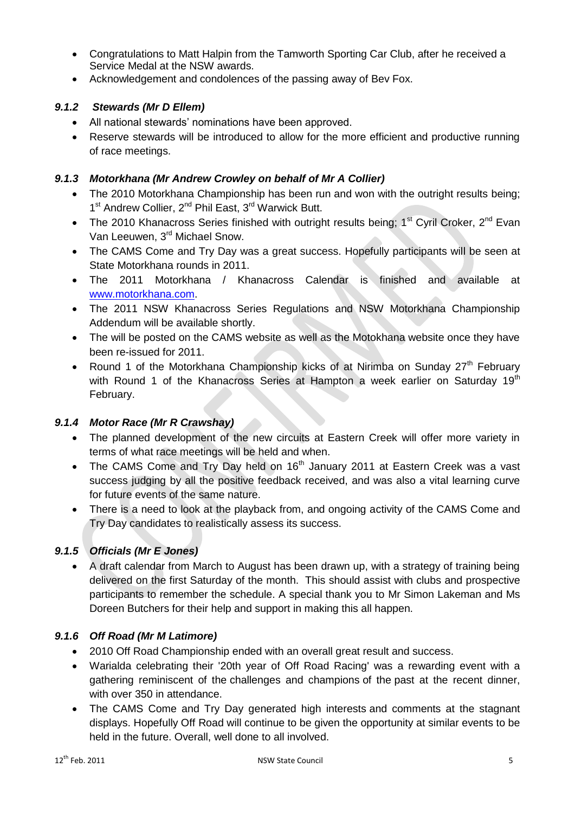- Congratulations to Matt Halpin from the Tamworth Sporting Car Club, after he received a Service Medal at the NSW awards.
- Acknowledgement and condolences of the passing away of Bev Fox.

# *9.1.2 Stewards (Mr D Ellem)*

- All national stewards' nominations have been approved.
- Reserve stewards will be introduced to allow for the more efficient and productive running of race meetings.

# *9.1.3 Motorkhana (Mr Andrew Crowley on behalf of Mr A Collier)*

- The 2010 Motorkhana Championship has been run and won with the outright results being; 1<sup>st</sup> Andrew Collier, 2<sup>nd</sup> Phil East, 3<sup>rd</sup> Warwick Butt.
- The 2010 Khanacross Series finished with outright results being;  $1<sup>st</sup>$  Cyril Croker,  $2<sup>nd</sup>$  Evan Van Leeuwen, 3rd Michael Snow.
- The CAMS Come and Try Day was a great success. Hopefully participants will be seen at State Motorkhana rounds in 2011.
- The 2011 Motorkhana / Khanacross Calendar is finished and available at [www.motorkhana.com.](http://www.motorkhana.com/)
- The 2011 NSW Khanacross Series Regulations and NSW Motorkhana Championship Addendum will be available shortly.
- The will be posted on the CAMS website as well as the Motokhana website once they have been re-issued for 2011.
- Round 1 of the Motorkhana Championship kicks of at Nirimba on Sunday  $27<sup>th</sup>$  February with Round 1 of the Khanacross Series at Hampton a week earlier on Saturday 19<sup>th</sup> February.

# *9.1.4 Motor Race (Mr R Crawshay)*

- The planned development of the new circuits at Eastern Creek will offer more variety in terms of what race meetings will be held and when.
- The CAMS Come and Try Day held on  $16<sup>th</sup>$  January 2011 at Eastern Creek was a vast success judging by all the positive feedback received, and was also a vital learning curve for future events of the same nature.
- There is a need to look at the playback from, and ongoing activity of the CAMS Come and Try Day candidates to realistically assess its success.

# *9.1.5 Officials (Mr E Jones)*

 A draft calendar from March to August has been drawn up, with a strategy of training being delivered on the first Saturday of the month. This should assist with clubs and prospective participants to remember the schedule. A special thank you to Mr Simon Lakeman and Ms Doreen Butchers for their help and support in making this all happen.

# *9.1.6 Off Road (Mr M Latimore)*

- 2010 Off Road Championship ended with an overall great result and success.
- Warialda celebrating their '20th year of Off Road Racing' was a rewarding event with a gathering reminiscent of the challenges and champions of the past at the recent dinner, with over 350 in attendance.
- The CAMS Come and Try Day generated high interests and comments at the stagnant displays. Hopefully Off Road will continue to be given the opportunity at similar events to be held in the future. Overall, well done to all involved.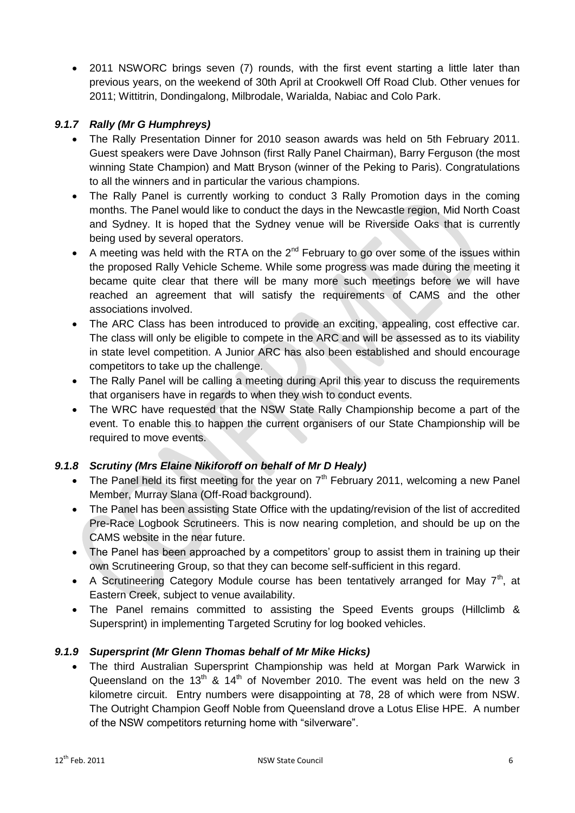• 2011 NSWORC brings seven (7) rounds, with the first event starting a little later than previous years, on the weekend of 30th April at Crookwell Off Road Club. Other venues for 2011; Wittitrin, Dondingalong, Milbrodale, Warialda, Nabiac and Colo Park.

# *9.1.7 Rally (Mr G Humphreys)*

- The Rally Presentation Dinner for 2010 season awards was held on 5th February 2011. Guest speakers were Dave Johnson (first Rally Panel Chairman), Barry Ferguson (the most winning State Champion) and Matt Bryson (winner of the Peking to Paris). Congratulations to all the winners and in particular the various champions.
- The Rally Panel is currently working to conduct 3 Rally Promotion days in the coming months. The Panel would like to conduct the days in the Newcastle region, Mid North Coast and Sydney. It is hoped that the Sydney venue will be Riverside Oaks that is currently being used by several operators.
- A meeting was held with the RTA on the  $2<sup>nd</sup>$  February to go over some of the issues within the proposed Rally Vehicle Scheme. While some progress was made during the meeting it became quite clear that there will be many more such meetings before we will have reached an agreement that will satisfy the requirements of CAMS and the other associations involved.
- The ARC Class has been introduced to provide an exciting, appealing, cost effective car. The class will only be eligible to compete in the ARC and will be assessed as to its viability in state level competition. A Junior ARC has also been established and should encourage competitors to take up the challenge.
- The Rally Panel will be calling a meeting during April this year to discuss the requirements that organisers have in regards to when they wish to conduct events.
- The WRC have requested that the NSW State Rally Championship become a part of the event. To enable this to happen the current organisers of our State Championship will be required to move events.

#### *9.1.8 Scrutiny (Mrs Elaine Nikiforoff on behalf of Mr D Healy)*

- The Panel held its first meeting for the year on  $7<sup>th</sup>$  February 2011, welcoming a new Panel Member, Murray Slana (Off-Road background).
- The Panel has been assisting State Office with the updating/revision of the list of accredited Pre-Race Logbook Scrutineers. This is now nearing completion, and should be up on the CAMS website in the near future.
- The Panel has been approached by a competitors' group to assist them in training up their own Scrutineering Group, so that they can become self-sufficient in this regard.
- A Scrutineering Category Module course has been tentatively arranged for May  $7<sup>th</sup>$ , at Eastern Creek, subject to venue availability.
- The Panel remains committed to assisting the Speed Events groups (Hillclimb & Supersprint) in implementing Targeted Scrutiny for log booked vehicles.

#### *9.1.9 Supersprint (Mr Glenn Thomas behalf of Mr Mike Hicks)*

 The third Australian Supersprint Championship was held at Morgan Park Warwick in Queensland on the 13<sup>th</sup> & 14<sup>th</sup> of November 2010. The event was held on the new 3 kilometre circuit. Entry numbers were disappointing at 78, 28 of which were from NSW. The Outright Champion Geoff Noble from Queensland drove a Lotus Elise HPE. A number of the NSW competitors returning home with "silverware".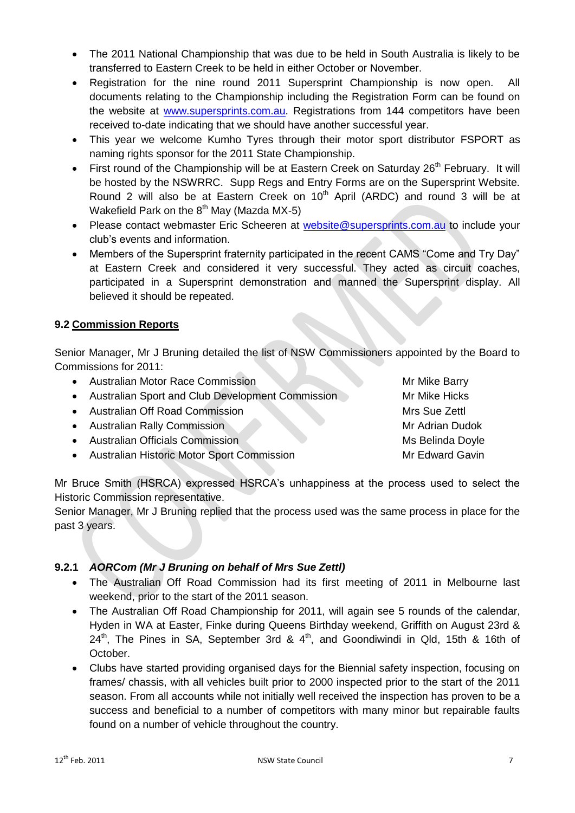- The 2011 National Championship that was due to be held in South Australia is likely to be transferred to Eastern Creek to be held in either October or November.
- Registration for the nine round 2011 Supersprint Championship is now open. All documents relating to the Championship including the Registration Form can be found on the website at [www.supersprints.com.au.](http://www.supersprints.com.au/) Registrations from 144 competitors have been received to-date indicating that we should have another successful year.
- This year we welcome Kumho Tyres through their motor sport distributor FSPORT as naming rights sponsor for the 2011 State Championship.
- First round of the Championship will be at Eastern Creek on Saturday 26<sup>th</sup> February. It will be hosted by the NSWRRC. Supp Regs and Entry Forms are on the Supersprint Website. Round 2 will also be at Eastern Creek on  $10<sup>th</sup>$  April (ARDC) and round 3 will be at Wakefield Park on the  $8<sup>th</sup>$  May (Mazda MX-5)
- Please contact webmaster Eric Scheeren at [website@supersprints.com.au](mailto:website@supersprints.com.au) to include your club's events and information.
- Members of the Supersprint fraternity participated in the recent CAMS "Come and Try Day" at Eastern Creek and considered it very successful. They acted as circuit coaches, participated in a Supersprint demonstration and manned the Supersprint display. All believed it should be repeated.

# **9.2 Commission Reports**

Senior Manager, Mr J Bruning detailed the list of NSW Commissioners appointed by the Board to Commissions for 2011:

| • Australian Motor Race Commission                 | Mr Mike Barry    |
|----------------------------------------------------|------------------|
| • Australian Sport and Club Development Commission | Mr Mike Hicks    |
| • Australian Off Road Commission                   | Mrs Sue Zettl    |
| • Australian Rally Commission                      | Mr Adrian Dudok  |
| • Australian Officials Commission                  | Ms Belinda Doyle |
| • Australian Historic Motor Sport Commission       | Mr Edward Gavin  |
|                                                    |                  |

Mr Bruce Smith (HSRCA) expressed HSRCA's unhappiness at the process used to select the Historic Commission representative.

Senior Manager, Mr J Bruning replied that the process used was the same process in place for the past 3 years.

# **9.2.1** *AORCom (Mr J Bruning on behalf of Mrs Sue Zettl)*

- The Australian Off Road Commission had its first meeting of 2011 in Melbourne last weekend, prior to the start of the 2011 season.
- The Australian Off Road Championship for 2011, will again see 5 rounds of the calendar, Hyden in WA at Easter, Finke during Queens Birthday weekend, Griffith on August 23rd &  $24<sup>th</sup>$ , The Pines in SA, September 3rd &  $4<sup>th</sup>$ , and Goondiwindi in Qld, 15th & 16th of October.
- Clubs have started providing organised days for the Biennial safety inspection, focusing on frames/ chassis, with all vehicles built prior to 2000 inspected prior to the start of the 2011 season. From all accounts while not initially well received the inspection has proven to be a success and beneficial to a number of competitors with many minor but repairable faults found on a number of vehicle throughout the country.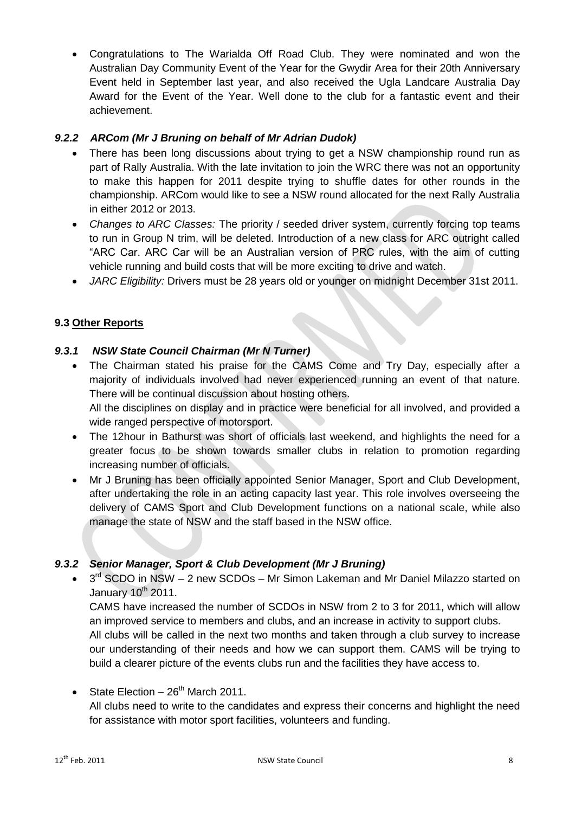Congratulations to The Warialda Off Road Club. They were nominated and won the Australian Day Community Event of the Year for the Gwydir Area for their 20th Anniversary Event held in September last year, and also received the Ugla Landcare Australia Day Award for the Event of the Year. Well done to the club for a fantastic event and their achievement.

# *9.2.2 ARCom (Mr J Bruning on behalf of Mr Adrian Dudok)*

- There has been long discussions about trying to get a NSW championship round run as part of Rally Australia. With the late invitation to join the WRC there was not an opportunity to make this happen for 2011 despite trying to shuffle dates for other rounds in the championship. ARCom would like to see a NSW round allocated for the next Rally Australia in either 2012 or 2013.
- *Changes to ARC Classes:* The priority / seeded driver system, currently forcing top teams to run in Group N trim, will be deleted. Introduction of a new class for ARC outright called "ARC Car. ARC Car will be an Australian version of PRC rules, with the aim of cutting vehicle running and build costs that will be more exciting to drive and watch.
- *JARC Eligibility:* Drivers must be 28 years old or younger on midnight December 31st 2011.

# **9.3 Other Reports**

# *9.3.1 NSW State Council Chairman (Mr N Turner)*

- The Chairman stated his praise for the CAMS Come and Try Day, especially after a majority of individuals involved had never experienced running an event of that nature. There will be continual discussion about hosting others. All the disciplines on display and in practice were beneficial for all involved, and provided a wide ranged perspective of motorsport.
- The 12hour in Bathurst was short of officials last weekend, and highlights the need for a greater focus to be shown towards smaller clubs in relation to promotion regarding increasing number of officials.
- Mr J Bruning has been officially appointed Senior Manager, Sport and Club Development, after undertaking the role in an acting capacity last year. This role involves overseeing the delivery of CAMS Sport and Club Development functions on a national scale, while also manage the state of NSW and the staff based in the NSW office.

# *9.3.2 Senior Manager, Sport & Club Development (Mr J Bruning)*

 $\bullet$  $3<sup>rd</sup>$  SCDO in NSW – 2 new SCDOs – Mr Simon Lakeman and Mr Daniel Milazzo started on January  $10^{th}$  2011.

CAMS have increased the number of SCDOs in NSW from 2 to 3 for 2011, which will allow an improved service to members and clubs, and an increase in activity to support clubs. All clubs will be called in the next two months and taken through a club survey to increase our understanding of their needs and how we can support them. CAMS will be trying to build a clearer picture of the events clubs run and the facilities they have access to.

 $\bullet$  State Election – 26<sup>th</sup> March 2011.

All clubs need to write to the candidates and express their concerns and highlight the need for assistance with motor sport facilities, volunteers and funding.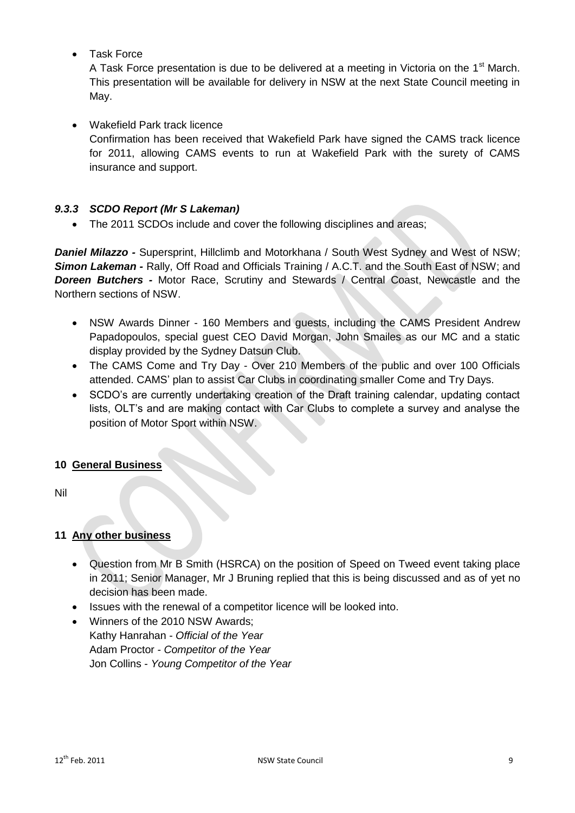Task Force

A Task Force presentation is due to be delivered at a meeting in Victoria on the 1<sup>st</sup> March. This presentation will be available for delivery in NSW at the next State Council meeting in May.

# Wakefield Park track licence

Confirmation has been received that Wakefield Park have signed the CAMS track licence for 2011, allowing CAMS events to run at Wakefield Park with the surety of CAMS insurance and support.

# *9.3.3 SCDO Report (Mr S Lakeman)*

The 2011 SCDOs include and cover the following disciplines and areas;

*Daniel Milazzo -* Supersprint, Hillclimb and Motorkhana / South West Sydney and West of NSW; **Simon Lakeman** - Rally, Off Road and Officials Training / A.C.T. and the South East of NSW; and **Doreen Butchers -** Motor Race, Scrutiny and Stewards / Central Coast, Newcastle and the Northern sections of NSW.

- NSW Awards Dinner 160 Members and guests, including the CAMS President Andrew Papadopoulos, special guest CEO David Morgan, John Smailes as our MC and a static display provided by the Sydney Datsun Club.
- The CAMS Come and Try Day Over 210 Members of the public and over 100 Officials attended. CAMS' plan to assist Car Clubs in coordinating smaller Come and Try Days.
- SCDO's are currently undertaking creation of the Draft training calendar, updating contact lists, OLT's and are making contact with Car Clubs to complete a survey and analyse the position of Motor Sport within NSW.

# **10 General Business**

Nil

# **11 Any other business**

- Question from Mr B Smith (HSRCA) on the position of Speed on Tweed event taking place in 2011; Senior Manager, Mr J Bruning replied that this is being discussed and as of yet no decision has been made.
- Issues with the renewal of a competitor licence will be looked into.
- Winners of the 2010 NSW Awards;
- Kathy Hanrahan *Official of the Year* Adam Proctor *- Competitor of the Year* Jon Collins - *Young Competitor of the Year*